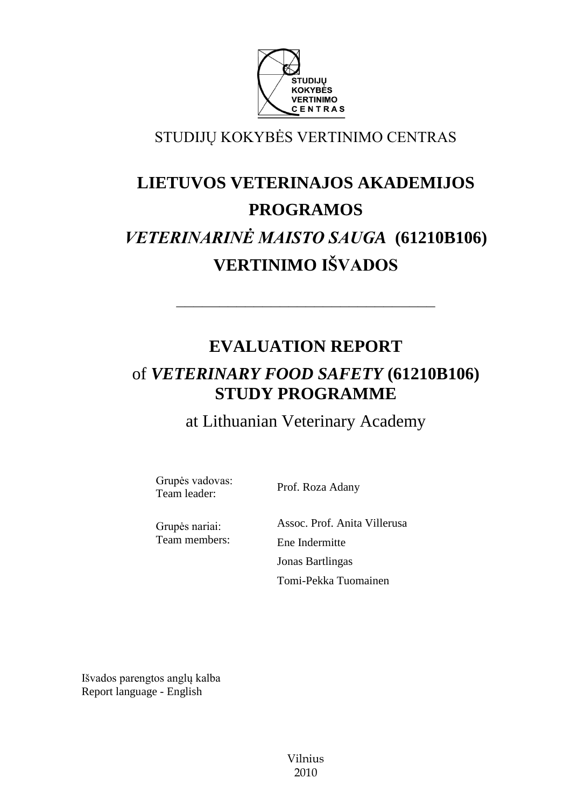

STUDIJŲ KOKYBĖS VERTINIMO CENTRAS

# **LIETUVOS VETERINAJOS AKADEMIJOS PROGRAMOS**  *VETERINARINĖ MAISTO SAUGA* **(61210B106) VERTINIMO IŠVADOS**

## **EVALUATION REPORT** of *VETERINARY FOOD SAFETY* **(61210B106) STUDY PROGRAMME**

––––––––––––––––––––––––––––––

at Lithuanian Veterinary Academy

Grupės vadovas: Team leader: Prof. Roza Adany

Grupės nariai: Team members: Assoc. Prof. Anita Villerusa Ene Indermitte Jonas Bartlingas Tomi-Pekka Tuomainen

Išvados parengtos anglų kalba Report language - English

> Vilnius 2010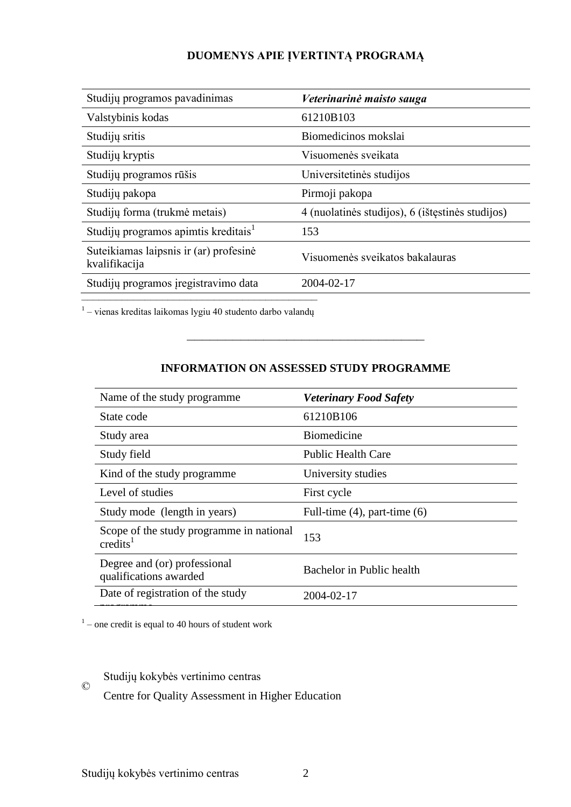## **DUOMENYS APIE ĮVERTINTĄ PROGRAMĄ**

| Studijų programos pavadinimas                           | Veterinarinė maisto sauga                        |
|---------------------------------------------------------|--------------------------------------------------|
| Valstybinis kodas                                       | 61210B103                                        |
| Studijų sritis                                          | Biomedicinos mokslai                             |
| Studijų kryptis                                         | Visuomenės sveikata                              |
| Studijų programos rūšis                                 | Universitetinės studijos                         |
| Studijų pakopa                                          | Pirmoji pakopa                                   |
| Studijų forma (trukmė metais)                           | 4 (nuolatinės studijos), 6 (ištęstinės studijos) |
| Studijų programos apimtis kreditais <sup>1</sup>        | 153                                              |
| Suteikiamas laipsnis ir (ar) profesinė<br>kvalifikacija | Visuomenės sveikatos bakalauras                  |
| Studijų programos įregistravimo data                    | 2004-02-17                                       |

–<br><sup>1</sup> – vienas kreditas laikomas lygiu 40 studento darbo valandų

## **INFORMATION ON ASSESSED STUDY PROGRAMME**

–––––––––––––––––––––––––––––––

| Name of the study programme.                                     | <b>Veterinary Food Safety</b>     |
|------------------------------------------------------------------|-----------------------------------|
| State code                                                       | 61210B106                         |
| Study area                                                       | <b>Biomedicine</b>                |
| Study field                                                      | <b>Public Health Care</b>         |
| Kind of the study programme                                      | University studies                |
| Level of studies                                                 | First cycle                       |
| Study mode (length in years)                                     | Full-time $(4)$ , part-time $(6)$ |
| Scope of the study programme in national<br>$\mathrm{credits}^1$ | 153                               |
| Degree and (or) professional<br>qualifications awarded           | Bachelor in Public health         |
| Date of registration of the study                                | 2004-02-17                        |
|                                                                  |                                   |

 $1$  – one credit is equal to 40 hours of student work

Studijų kokybės vertinimo centras

Centre for Quality Assessment in Higher Education

©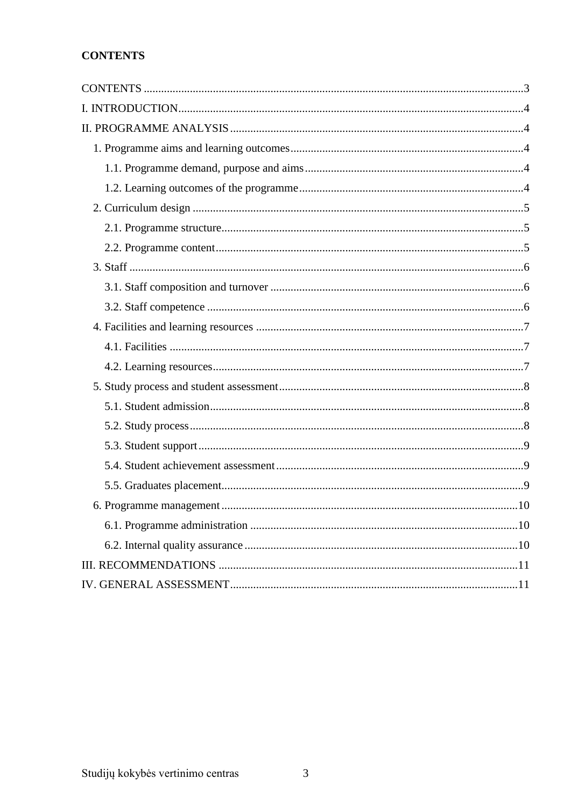## <span id="page-2-0"></span>**CONTENTS**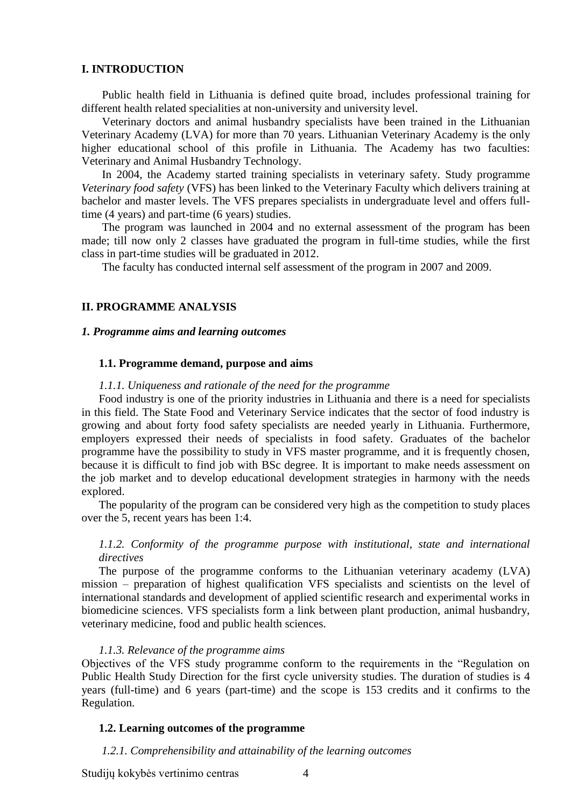#### <span id="page-3-0"></span>**I. INTRODUCTION**

Public health field in Lithuania is defined quite broad, includes professional training for different health related specialities at non-university and university level.

Veterinary doctors and animal husbandry specialists have been trained in the Lithuanian Veterinary Academy (LVA) for more than 70 years. Lithuanian Veterinary Academy is the only higher educational school of this profile in Lithuania. The Academy has two faculties: Veterinary and Animal Husbandry Technology.

In 2004, the Academy started training specialists in veterinary safety. Study programme *Veterinary food safety* (VFS) has been linked to the Veterinary Faculty which delivers training at bachelor and master levels. The VFS prepares specialists in undergraduate level and offers fulltime (4 years) and part-time (6 years) studies.

The program was launched in 2004 and no external assessment of the program has been made; till now only 2 classes have graduated the program in full-time studies, while the first class in part-time studies will be graduated in 2012.

The faculty has conducted internal self assessment of the program in 2007 and 2009.

#### <span id="page-3-2"></span><span id="page-3-1"></span>**II. PROGRAMME ANALYSIS**

#### *1. Programme aims and learning outcomes*

#### <span id="page-3-3"></span> **1.1. Programme demand, purpose and aims**

#### *1.1.1. Uniqueness and rationale of the need for the programme*

Food industry is one of the priority industries in Lithuania and there is a need for specialists in this field. The State Food and Veterinary Service indicates that the sector of food industry is growing and about forty food safety specialists are needed yearly in Lithuania. Furthermore, employers expressed their needs of specialists in food safety. Graduates of the bachelor programme have the possibility to study in VFS master programme, and it is frequently chosen, because it is difficult to find job with BSc degree. It is important to make needs assessment on the job market and to develop educational development strategies in harmony with the needs explored.

The popularity of the program can be considered very high as the competition to study places over the 5, recent years has been 1:4.

## *1.1.2. Conformity of the programme purpose with institutional, state and international directives*

The purpose of the programme conforms to the Lithuanian veterinary academy (LVA) mission – preparation of highest qualification VFS specialists and scientists on the level of international standards and development of applied scientific research and experimental works in biomedicine sciences. VFS specialists form a link between plant production, animal husbandry, veterinary medicine, food and public health sciences.

#### *1.1.3. Relevance of the programme aims*

Objectives of the VFS study programme conform to the requirements in the "Regulation on Public Health Study Direction for the first cycle university studies. The duration of studies is 4 years (full-time) and 6 years (part-time) and the scope is 153 credits and it confirms to the Regulation.

#### <span id="page-3-4"></span>**1.2. Learning outcomes of the programme**

#### *1.2.1. Comprehensibility and attainability of the learning outcomes*

Studijų kokybės vertinimo centras 4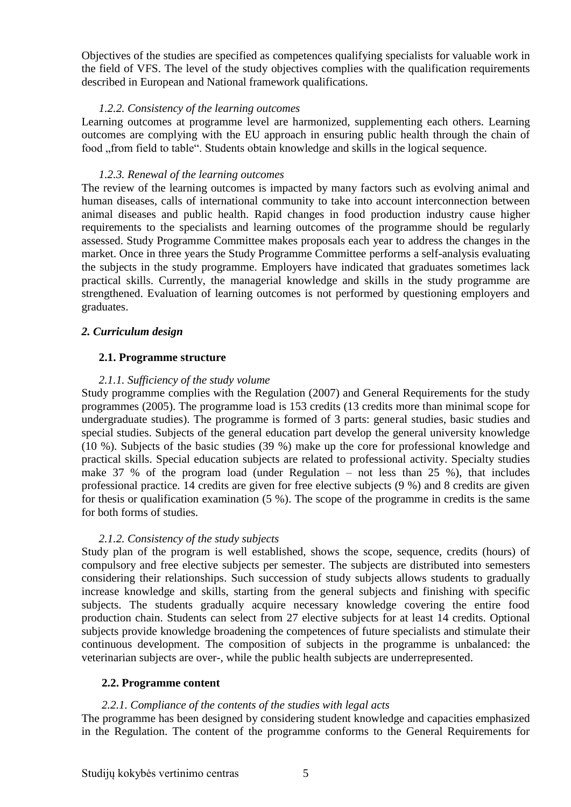Objectives of the studies are specified as competences qualifying specialists for valuable work in the field of VFS. The level of the study objectives complies with the qualification requirements described in European and National framework qualifications.

## *1.2.2. Consistency of the learning outcomes*

Learning outcomes at programme level are harmonized, supplementing each others. Learning outcomes are complying with the EU approach in ensuring public health through the chain of food "from field to table". Students obtain knowledge and skills in the logical sequence.

## *1.2.3. Renewal of the learning outcomes*

The review of the learning outcomes is impacted by many factors such as evolving animal and human diseases, calls of international community to take into account interconnection between animal diseases and public health. Rapid changes in food production industry cause higher requirements to the specialists and learning outcomes of the programme should be regularly assessed. Study Programme Committee makes proposals each year to address the changes in the market. Once in three years the Study Programme Committee performs a self-analysis evaluating the subjects in the study programme. Employers have indicated that graduates sometimes lack practical skills. Currently, the managerial knowledge and skills in the study programme are strengthened. Evaluation of learning outcomes is not performed by questioning employers and graduates.

## <span id="page-4-0"></span>*2. Curriculum design*

## <span id="page-4-1"></span> **2.1. Programme structure**

## *2.1.1. Sufficiency of the study volume*

Study programme complies with the Regulation (2007) and General Requirements for the study programmes (2005). The programme load is 153 credits (13 credits more than minimal scope for undergraduate studies). The programme is formed of 3 parts: general studies, basic studies and special studies. Subjects of the general education part develop the general university knowledge (10 %). Subjects of the basic studies (39 %) make up the core for professional knowledge and practical skills. Special education subjects are related to professional activity. Specialty studies make 37 % of the program load (under Regulation – not less than 25 %), that includes professional practice. 14 credits are given for free elective subjects (9 %) and 8 credits are given for thesis or qualification examination (5 %). The scope of the programme in credits is the same for both forms of studies.

## *2.1.2. Consistency of the study subjects*

Study plan of the program is well established, shows the scope, sequence, credits (hours) of compulsory and free elective subjects per semester. The subjects are distributed into semesters considering their relationships. Such succession of study subjects allows students to gradually increase knowledge and skills, starting from the general subjects and finishing with specific subjects. The students gradually acquire necessary knowledge covering the entire food production chain. Students can select from 27 elective subjects for at least 14 credits. Optional subjects provide knowledge broadening the competences of future specialists and stimulate their continuous development. The composition of subjects in the programme is unbalanced: the veterinarian subjects are over-, while the public health subjects are underrepresented.

## <span id="page-4-2"></span> **2.2. Programme content**

## *2.2.1. Compliance of the contents of the studies with legal acts*

The programme has been designed by considering student knowledge and capacities emphasized in the Regulation. The content of the programme conforms to the General Requirements for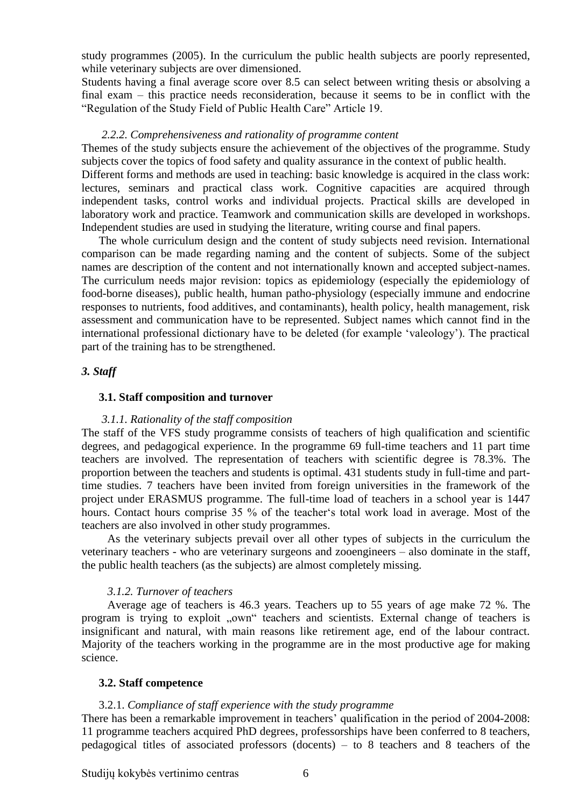study programmes (2005). In the curriculum the public health subjects are poorly represented, while veterinary subjects are over dimensioned.

Students having a final average score over 8.5 can select between writing thesis or absolving a final exam – this practice needs reconsideration, because it seems to be in conflict with the "Regulation of the Study Field of Public Health Care" Article 19.

#### *2.2.2. Comprehensiveness and rationality of programme content*

Themes of the study subjects ensure the achievement of the objectives of the programme. Study subjects cover the topics of food safety and quality assurance in the context of public health.

Different forms and methods are used in teaching: basic knowledge is acquired in the class work: lectures, seminars and practical class work. Cognitive capacities are acquired through independent tasks, control works and individual projects. Practical skills are developed in laboratory work and practice. Teamwork and communication skills are developed in workshops. Independent studies are used in studying the literature, writing course and final papers.

The whole curriculum design and the content of study subjects need revision. International comparison can be made regarding naming and the content of subjects. Some of the subject names are description of the content and not internationally known and accepted subject-names. The curriculum needs major revision: topics as epidemiology (especially the epidemiology of food-borne diseases), public health, human patho-physiology (especially immune and endocrine responses to nutrients, food additives, and contaminants), health policy, health management, risk assessment and communication have to be represented. Subject names which cannot find in the international professional dictionary have to be deleted (for example 'valeology'). The practical part of the training has to be strengthened.

#### <span id="page-5-0"></span>*3. Staff*

#### <span id="page-5-1"></span> **3.1. Staff composition and turnover**

#### *3.1.1. Rationality of the staff composition*

The staff of the VFS study programme consists of teachers of high qualification and scientific degrees, and pedagogical experience. In the programme 69 full-time teachers and 11 part time teachers are involved. The representation of teachers with scientific degree is 78.3%. The proportion between the teachers and students is optimal. 431 students study in full-time and parttime studies. 7 teachers have been invited from foreign universities in the framework of the project under ERASMUS programme. The full-time load of teachers in a school year is 1447 hours. Contact hours comprise 35 % of the teacher's total work load in average. Most of the teachers are also involved in other study programmes.

As the veterinary subjects prevail over all other types of subjects in the curriculum the veterinary teachers - who are veterinary surgeons and zooengineers – also dominate in the staff, the public health teachers (as the subjects) are almost completely missing.

#### *3.1.2. Turnover of teachers*

Average age of teachers is 46.3 years. Teachers up to 55 years of age make 72 %. The program is trying to exploit "own" teachers and scientists. External change of teachers is insignificant and natural, with main reasons like retirement age, end of the labour contract. Majority of the teachers working in the programme are in the most productive age for making science.

#### <span id="page-5-2"></span> **3.2. Staff competence**

#### 3.2.1. *Compliance of staff experience with the study programme*

There has been a remarkable improvement in teachers' qualification in the period of 2004-2008: 11 programme teachers acquired PhD degrees, professorships have been conferred to 8 teachers, pedagogical titles of associated professors (docents) – to 8 teachers and 8 teachers of the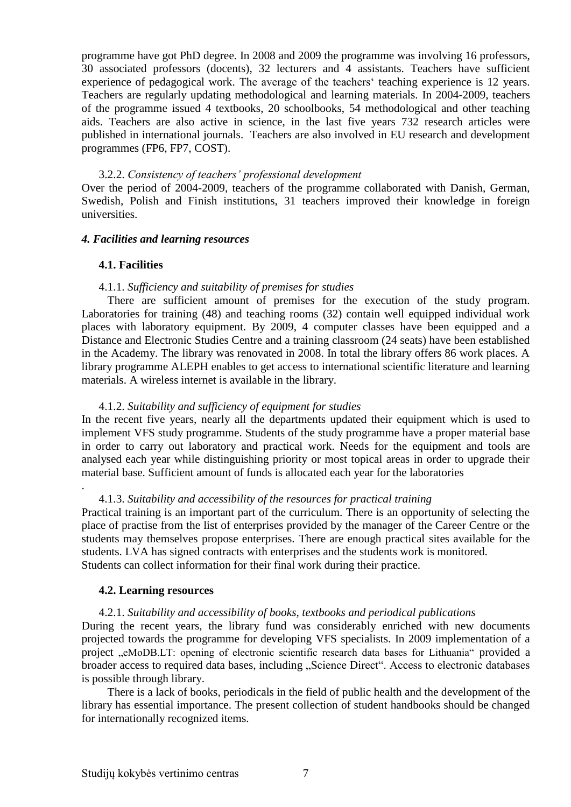programme have got PhD degree. In 2008 and 2009 the programme was involving 16 professors, 30 associated professors (docents), 32 lecturers and 4 assistants. Teachers have sufficient experience of pedagogical work. The average of the teachers' teaching experience is 12 years. Teachers are regularly updating methodological and learning materials. In 2004-2009, teachers of the programme issued 4 textbooks, 20 schoolbooks, 54 methodological and other teaching aids. Teachers are also active in science, in the last five years 732 research articles were published in international journals. Teachers are also involved in EU research and development programmes (FP6, FP7, COST).

### 3.2.2. *Consistency of teachers' professional development*

Over the period of 2004-2009, teachers of the programme collaborated with Danish, German, Swedish, Polish and Finish institutions, 31 teachers improved their knowledge in foreign universities.

#### <span id="page-6-0"></span>*4. Facilities and learning resources*

#### <span id="page-6-1"></span> **4.1. Facilities**

.

#### 4.1.1. *Sufficiency and suitability of premises for studies*

There are sufficient amount of premises for the execution of the study program. Laboratories for training (48) and teaching rooms (32) contain well equipped individual work places with laboratory equipment*.* By 2009, 4 computer classes have been equipped and a Distance and Electronic Studies Centre and a training classroom (24 seats) have been established in the Academy. The library was renovated in 2008. In total the library offers 86 work places. A library programme ALEPH enables to get access to international scientific literature and learning materials. A wireless internet is available in the library.

### 4.1.2. *Suitability and sufficiency of equipment for studies*

In the recent five years, nearly all the departments updated their equipment which is used to implement VFS study programme. Students of the study programme have a proper material base in order to carry out laboratory and practical work. Needs for the equipment and tools are analysed each year while distinguishing priority or most topical areas in order to upgrade their material base. Sufficient amount of funds is allocated each year for the laboratories

#### 4.1.3. *Suitability and accessibility of the resources for practical training*

Practical training is an important part of the curriculum. There is an opportunity of selecting the place of practise from the list of enterprises provided by the manager of the Career Centre or the students may themselves propose enterprises. There are enough practical sites available for the students. LVA has signed contracts with enterprises and the students work is monitored. Students can collect information for their final work during their practice.

#### <span id="page-6-2"></span> **4.2. Learning resources**

#### 4.2.1. *Suitability and accessibility of books, textbooks and periodical publications*

During the recent years, the library fund was considerably enriched with new documents projected towards the programme for developing VFS specialists. In 2009 implementation of a project "eMoDB.LT: opening of electronic scientific research data bases for Lithuania" provided a broader access to required data bases, including "Science Direct". Access to electronic databases is possible through library.

There is a lack of books, periodicals in the field of public health and the development of the library has essential importance. The present collection of student handbooks should be changed for internationally recognized items.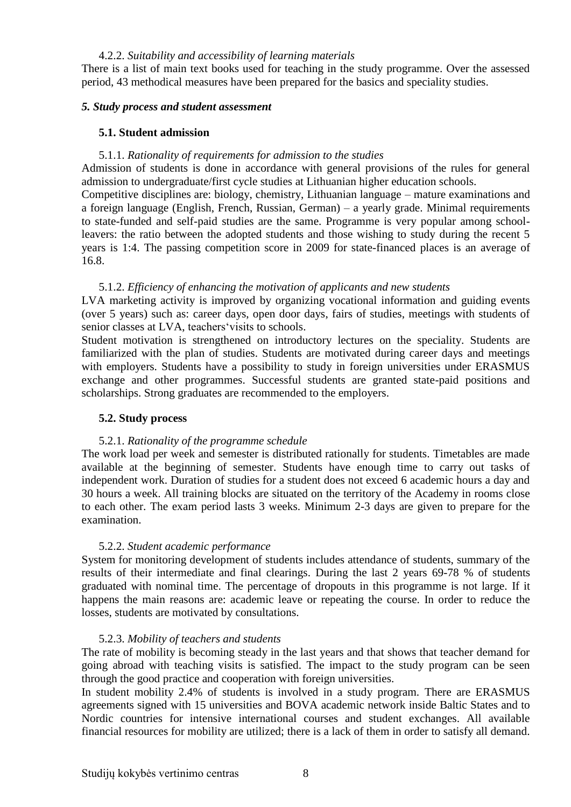#### 4.2.2. *Suitability and accessibility of learning materials*

There is a list of main text books used for teaching in the study programme. Over the assessed period, 43 methodical measures have been prepared for the basics and speciality studies.

#### <span id="page-7-0"></span>*5. Study process and student assessment*

#### <span id="page-7-1"></span> **5.1. Student admission**

#### 5.1.1. *Rationality of requirements for admission to the studies*

Admission of students is done in accordance with general provisions of the rules for general admission to undergraduate/first cycle studies at Lithuanian higher education schools.

Competitive disciplines are: biology, chemistry, Lithuanian language – mature examinations and a foreign language (English, French, Russian, German) – a yearly grade. Minimal requirements to state-funded and self-paid studies are the same. Programme is very popular among schoolleavers: the ratio between the adopted students and those wishing to study during the recent 5 years is 1:4. The passing competition score in 2009 for state-financed places is an average of 16.8.

#### 5.1.2. *Efficiency of enhancing the motivation of applicants and new students*

LVA marketing activity is improved by organizing vocational information and guiding events (over 5 years) such as: career days, open door days, fairs of studies, meetings with students of senior classes at LVA, teachers'visits to schools.

Student motivation is strengthened on introductory lectures on the speciality. Students are familiarized with the plan of studies. Students are motivated during career days and meetings with employers. Students have a possibility to study in foreign universities under ERASMUS exchange and other programmes. Successful students are granted state-paid positions and scholarships. Strong graduates are recommended to the employers.

## <span id="page-7-2"></span> **5.2. Study process**

#### 5.2.1. *Rationality of the programme schedule*

The work load per week and semester is distributed rationally for students. Timetables are made available at the beginning of semester. Students have enough time to carry out tasks of independent work. Duration of studies for a student does not exceed 6 academic hours a day and 30 hours a week. All training blocks are situated on the territory of the Academy in rooms close to each other. The exam period lasts 3 weeks. Minimum 2-3 days are given to prepare for the examination.

## 5.2.2. *Student academic performance*

System for monitoring development of students includes attendance of students, summary of the results of their intermediate and final clearings. During the last 2 years 69-78 % of students graduated with nominal time. The percentage of dropouts in this programme is not large. If it happens the main reasons are: academic leave or repeating the course. In order to reduce the losses, students are motivated by consultations.

#### 5.2.3. *Mobility of teachers and students*

The rate of mobility is becoming steady in the last years and that shows that teacher demand for going abroad with teaching visits is satisfied. The impact to the study program can be seen through the good practice and cooperation with foreign universities.

In student mobility 2.4% of students is involved in a study program. There are ERASMUS agreements signed with 15 universities and BOVA academic network inside Baltic States and to Nordic countries for intensive international courses and student exchanges. All available financial resources for mobility are utilized; there is a lack of them in order to satisfy all demand.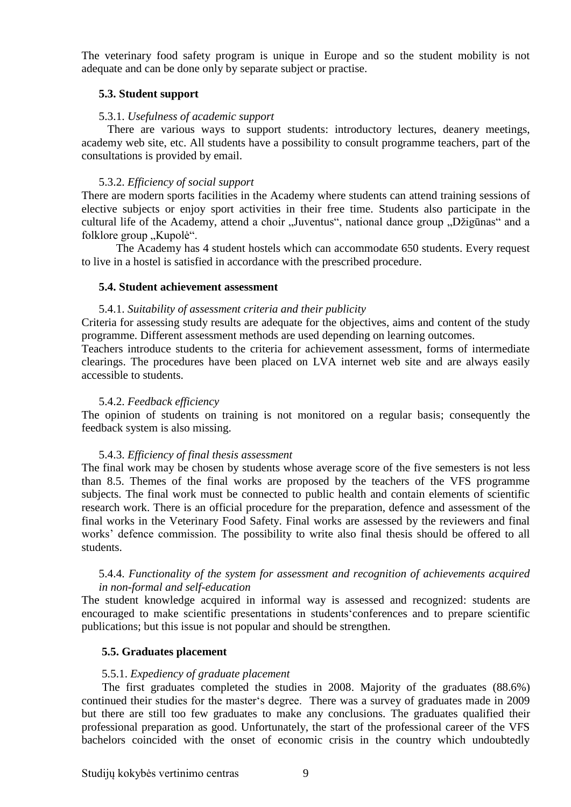The veterinary food safety program is unique in Europe and so the student mobility is not adequate and can be done only by separate subject or practise.

## <span id="page-8-0"></span>**5.3. Student support**

#### 5.3.1. *Usefulness of academic support*

There are various ways to support students: introductory lectures, deanery meetings, academy web site, etc. All students have a possibility to consult programme teachers, part of the consultations is provided by email.

#### 5.3.2. *Efficiency of social support*

There are modern sports facilities in the Academy where students can attend training sessions of elective subjects or enjoy sport activities in their free time. Students also participate in the cultural life of the Academy, attend a choir "Juventus", national dance group "Džigūnas" and a folklore group "Kupolė".

The Academy has 4 student hostels which can accommodate 650 students. Every request to live in a hostel is satisfied in accordance with the prescribed procedure.

#### <span id="page-8-1"></span> **5.4. Student achievement assessment**

#### 5.4.1. *Suitability of assessment criteria and their publicity*

Criteria for assessing study results are adequate for the objectives, aims and content of the study programme. Different assessment methods are used depending on learning outcomes.

Teachers introduce students to the criteria for achievement assessment, forms of intermediate clearings. The procedures have been placed on LVA internet web site and are always easily accessible to students.

#### 5.4.2. *Feedback efficiency*

The opinion of students on training is not monitored on a regular basis; consequently the feedback system is also missing.

#### 5.4.3. *Efficiency of final thesis assessment*

The final work may be chosen by students whose average score of the five semesters is not less than 8.5. Themes of the final works are proposed by the teachers of the VFS programme subjects. The final work must be connected to public health and contain elements of scientific research work. There is an official procedure for the preparation, defence and assessment of the final works in the Veterinary Food Safety. Final works are assessed by the reviewers and final works' defence commission. The possibility to write also final thesis should be offered to all students.

#### 5.4.4. *Functionality of the system for assessment and recognition of achievements acquired in non-formal and self-education*

The student knowledge acquired in informal way is assessed and recognized: students are encouraged to make scientific presentations in students'conferences and to prepare scientific publications; but this issue is not popular and should be strengthen.

#### <span id="page-8-2"></span> **5.5. Graduates placement**

#### 5.5.1. *Expediency of graduate placement*

The first graduates completed the studies in 2008. Majority of the graduates (88.6%) continued their studies for the master's degree. There was a survey of graduates made in 2009 but there are still too few graduates to make any conclusions. The graduates qualified their professional preparation as good. Unfortunately, the start of the professional career of the VFS bachelors coincided with the onset of economic crisis in the country which undoubtedly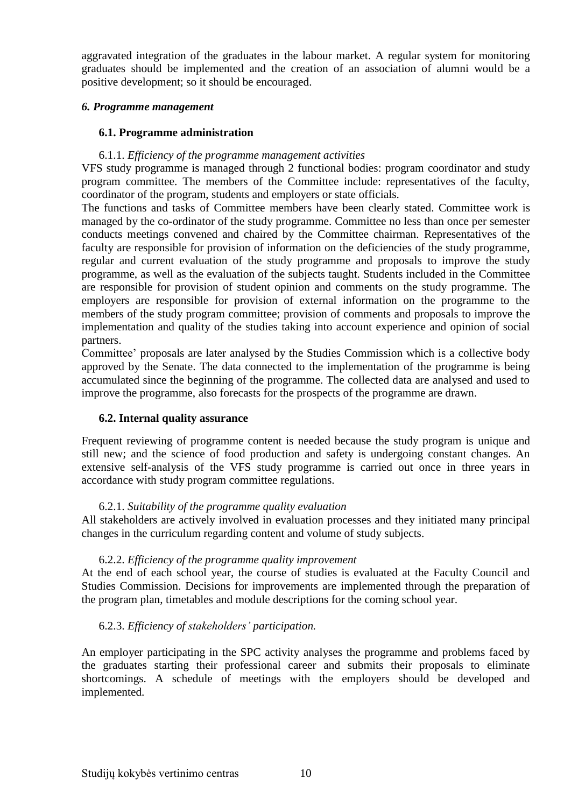aggravated integration of the graduates in the labour market. A regular system for monitoring graduates should be implemented and the creation of an association of alumni would be a positive development; so it should be encouraged.

## <span id="page-9-0"></span>*6. Programme management*

## <span id="page-9-1"></span> **6.1. Programme administration**

## 6.1.1. *Efficiency of the programme management activities*

VFS study programme is managed through 2 functional bodies: program coordinator and study program committee. The members of the Committee include: representatives of the faculty, coordinator of the program, students and employers or state officials.

The functions and tasks of Committee members have been clearly stated. Committee work is managed by the co-ordinator of the study programme. Committee no less than once per semester conducts meetings convened and chaired by the Committee chairman. Representatives of the faculty are responsible for provision of information on the deficiencies of the study programme, regular and current evaluation of the study programme and proposals to improve the study programme, as well as the evaluation of the subjects taught. Students included in the Committee are responsible for provision of student opinion and comments on the study programme. The employers are responsible for provision of external information on the programme to the members of the study program committee; provision of comments and proposals to improve the implementation and quality of the studies taking into account experience and opinion of social partners.

Committee' proposals are later analysed by the Studies Commission which is a collective body approved by the Senate. The data connected to the implementation of the programme is being accumulated since the beginning of the programme. The collected data are analysed and used to improve the programme, also forecasts for the prospects of the programme are drawn.

## <span id="page-9-2"></span>**6.2. Internal quality assurance**

Frequent reviewing of programme content is needed because the study program is unique and still new; and the science of food production and safety is undergoing constant changes. An extensive self-analysis of the VFS study programme is carried out once in three years in accordance with study program committee regulations.

## 6.2.1. *Suitability of the programme quality evaluation*

All stakeholders are actively involved in evaluation processes and they initiated many principal changes in the curriculum regarding content and volume of study subjects.

## 6.2.2. *Efficiency of the programme quality improvement*

At the end of each school year, the course of studies is evaluated at the Faculty Council and Studies Commission. Decisions for improvements are implemented through the preparation of the program plan, timetables and module descriptions for the coming school year.

## 6.2.3. *Efficiency of stakeholders' participation.*

An employer participating in the SPC activity analyses the programme and problems faced by the graduates starting their professional career and submits their proposals to eliminate shortcomings. A schedule of meetings with the employers should be developed and implemented.